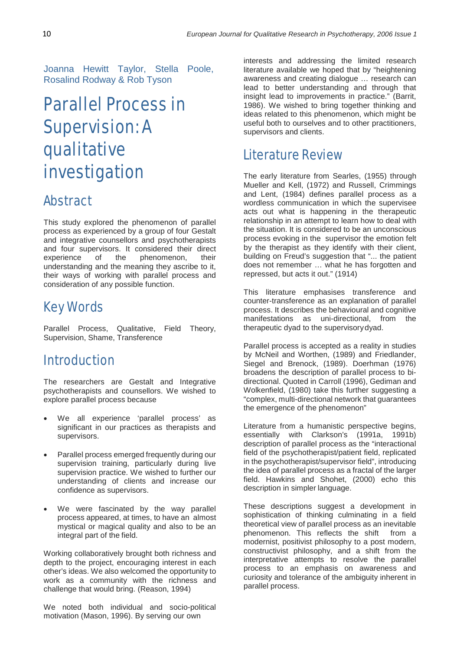Joanna Hewitt Taylor, Stella Poole, Rosalind Rodway & Rob Tyson

# Parallel Process in Supervision: A qualitative investigation

# Abstract

This study explored the phenomenon of parallel process as experienced by a group of four Gestalt and integrative counsellors and psychotherapists and four supervisors. It considered their direct experience of the phenomenon, their experience of the phenomenon, their understanding and the meaning they ascribe to it, their ways of working with parallel process and consideration of any possible function.

# Key Words

Parallel Process, Qualitative, Field Theory, Supervision, Shame, Transference

# Introduction

The researchers are Gestalt and Integrative psychotherapists and counsellors. We wished to explore parallel process because

- We all experience 'parallel process' as significant in our practices as therapists and supervisors.
- Parallel process emerged frequently during our supervision training, particularly during live supervision practice. We wished to further our understanding of clients and increase our confidence as supervisors.
- We were fascinated by the way parallel process appeared, at times, to have an almost mystical or magical quality and also to be an integral part of the field.

Working collaboratively brought both richness and depth to the project, encouraging interest in each other's ideas. We also welcomed the opportunity to work as a community with the richness and challenge that would bring. (Reason, 1994)

We noted both individual and socio-political motivation (Mason, 1996). By serving our own

interests and addressing the limited research literature available we hoped that by "heightening awareness and creating dialogue … research can lead to better understanding and through that insight lead to improvements in practice." (Barrit, 1986). We wished to bring together thinking and ideas related to this phenomenon, which might be useful both to ourselves and to other practitioners, supervisors and clients.

# Literature Review

The early literature from Searles, (1955) through Mueller and Kell, (1972) and Russell, Crimmings and Lent, (1984) defines parallel process as a wordless communication in which the supervisee acts out what is happening in the therapeutic relationship in an attempt to learn how to deal with the situation. It is considered to be an unconscious process evoking in the supervisor the emotion felt by the therapist as they identify with their client, building on Freud's suggestion that "... the patient does not remember … what he has forgotten and repressed, but acts it out." (1914)

This literature emphasises transference and counter-transference as an explanation of parallel process. It describes the behavioural and cognitive manifestations as uni-directional, from the therapeutic dyad to the supervisorydyad.

Parallel process is accepted as a reality in studies by McNeil and Worthen, (1989) and Friedlander, Siegel and Brenock, (1989). Doerhman (1976) broadens the description of parallel process to bidirectional. Quoted in Carroll (1996), Gediman and Wolkenfield, (1980) take this further suggesting a "complex, multi-directional network that guarantees the emergence of the phenomenon"

Literature from a humanistic perspective begins, essentially with Clarkson's (1991a, 1991b) description of parallel process as the "interactional field of the psychotherapist/patient field, replicated in the psychotherapist/supervisor field", introducing the idea of parallel process as a fractal of the larger field. Hawkins and Shohet, (2000) echo this description in simpler language.

These descriptions suggest a development in sophistication of thinking culminating in a field theoretical view of parallel process as an inevitable phenomenon. This reflects the shift from a phenomenon. This reflects the shift modernist, positivist philosophy to a post modern, constructivist philosophy, and a shift from the interpretative attempts to resolve the parallel process to an emphasis on awareness and curiosity and tolerance of the ambiguity inherent in parallel process.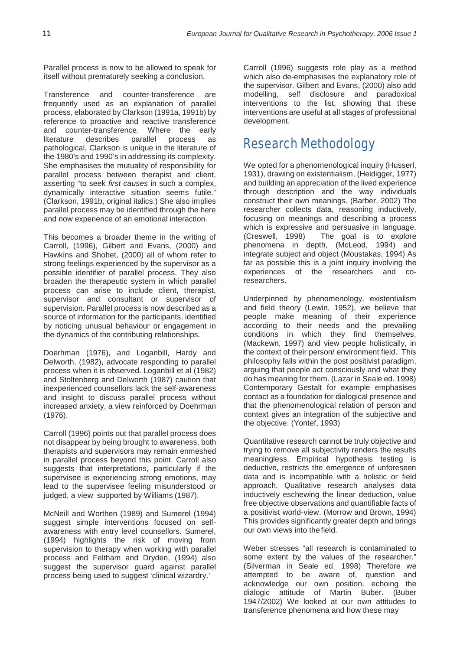Parallel process is now to be allowed to speak for itself without prematurely seeking a conclusion.

Transference and counter-transference are frequently used as an explanation of parallel process, elaborated by Clarkson (1991a, 1991b) by reference to proactive and reactive transference and counter-transference. Where the early<br>literature describes parallel process as describes parallel process as pathological, Clarkson is unique in the literature of the 1980's and 1990's in addressing its complexity. She emphasises the mutuality of responsibility for parallel process between therapist and client, asserting "to seek *first causes* in such a complex, dynamically interactive situation seems futile." (Clarkson, 1991b, original italics.) She also implies parallel process may be identified through the here and now experience of an emotional interaction.

This becomes a broader theme in the writing of Carroll, (1996), Gilbert and Evans, (2000) and Hawkins and Shohet, (2000) all of whom refer to strong feelings experienced by the supervisor as a possible identifier of parallel process. They also broaden the therapeutic system in which parallel process can arise to include client, therapist, supervisor and consultant or supervisor of supervision. Parallel process is now described as a source of information for the participants, identified by noticing unusual behaviour or engagement in the dynamics of the contributing relationships.

Doerhman (1976), and Loganbill, Hardy and Delworth, (1982), advocate responding to parallel process when it is observed. Loganbill et al (1982) and Stoltenberg and Delworth (1987) caution that inexperienced counsellors lack the self-awareness and insight to discuss parallel process without increased anxiety, a view reinforced by Doehrman (1976).

Carroll (1996) points out that parallel process does not disappear by being brought to awareness, both therapists and supervisors may remain enmeshed in parallel process beyond this point. Carroll also suggests that interpretations, particularly if the supervisee is experiencing strong emotions, may lead to the supervisee feeling misunderstood or judged, a view supported by Williams (1987).

McNeill and Worthen (1989) and Sumerel (1994) suggest simple interventions focused on selfawareness with entry level counsellors. Sumerel, (1994) highlights the risk of moving from supervision to therapy when working with parallel process and Feltham and Dryden, (1994) also suggest the supervisor guard against parallel process being used to suggest 'clinical wizardry.'

Carroll (1996) suggests role play as a method which also de-emphasises the explanatory role of the supervisor. Gilbert and Evans, (2000) also add modelling, self disclosure and paradoxical interventions to the list, showing that these interventions are useful at all stages of professional development.

### Research Methodology

We opted for a phenomenological inquiry (Husserl, 1931), drawing on existentialism, (Heidigger, 1977) and building an appreciation of the lived experience through description and the way individuals construct their own meanings. (Barber, 2002) The researcher collects data, reasoning inductively, focusing on meanings and describing a process which is expressive and persuasive in language.<br>(Creswell. 1998) The goal is to explore The goal is to explore phenomena in depth, (McLeod, 1994) and integrate subject and object (Moustakas, 1994) As far as possible this is a joint inquiry involving the experiences of the researchers and coresearchers.

Underpinned by phenomenology, existentialism and field theory (Lewin, 1952), we believe that people make meaning of their experience according to their needs and the prevailing conditions in which they find themselves, (Mackewn, 1997) and view people holistically, in the context of their person/ environment field. This philosophy falls within the post positivist paradigm, arguing that people act consciously and what they do has meaning for them. (Lazar in Seale ed. 1998) Contemporary Gestalt for example emphasises contact as a foundation for dialogical presence and that the phenomenological relation of person and context gives an integration of the subjective and the objective. (Yontef, 1993)

Quantitative research cannot be truly objective and trying to remove all subjectivity renders the results meaningless. Empirical hypothesis testing is deductive, restricts the emergence of unforeseen data and is incompatible with a holistic or field approach. Qualitative research analyses data inductively eschewing the linear deduction, value free objective observations and quantifiable facts of a positivist world-view. (Morrow and Brown, 1994) This provides significantly greater depth and brings our own views into thefield.

Weber stresses "all research is contaminated to some extent by the values of the researcher." (Silverman in Seale ed. 1998) Therefore we attempted to be aware of, question and acknowledge our own position, echoing the dialogic attitude of Martin Buber. (Buber 1947/2002) We looked at our own attitudes to transference phenomena and how these may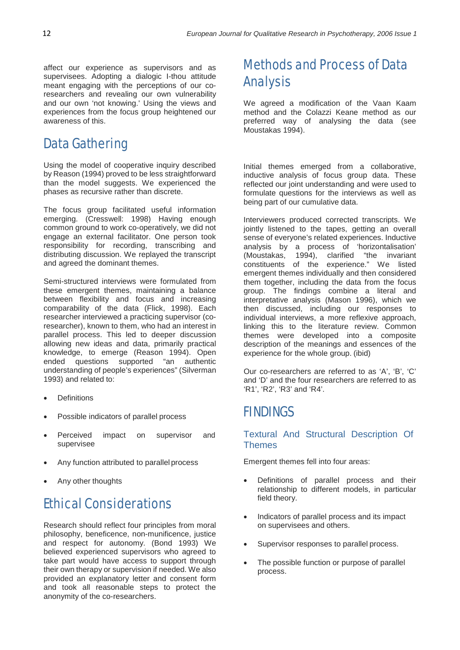affect our experience as supervisors and as supervisees. Adopting a dialogic I-thou attitude meant engaging with the perceptions of our coresearchers and revealing our own vulnerability and our own 'not knowing.' Using the views and experiences from the focus group heightened our awareness of this.

# Data Gathering

Using the model of cooperative inquiry described by Reason (1994) proved to be less straightforward than the model suggests. We experienced the phases as recursive rather than discrete.

The focus group facilitated useful information emerging. (Cresswell: 1998) Having enough common ground to work co-operatively, we did not engage an external facilitator. One person took responsibility for recording, transcribing and distributing discussion. We replayed the transcript and agreed the dominant themes.

Semi-structured interviews were formulated from these emergent themes, maintaining a balance between flexibility and focus and increasing comparability of the data (Flick, 1998). Each researcher interviewed a practicing supervisor (coresearcher), known to them, who had an interest in parallel process. This led to deeper discussion allowing new ideas and data, primarily practical knowledge, to emerge (Reason 1994). Open ended questions supported "an authentic understanding of people's experiences" (Silverman 1993) and related to:

- **Definitions**
- Possible indicators of parallel process
- Perceived impact on supervisor and supervisee
- Any function attributed to parallel process
- Any other thoughts

# Ethical Considerations

Research should reflect four principles from moral philosophy, beneficence, non-munificence, justice and respect for autonomy. (Bond 1993) We believed experienced supervisors who agreed to take part would have access to support through their own therapy or supervision if needed. We also provided an explanatory letter and consent form and took all reasonable steps to protect the anonymity of the co-researchers.

# Methods and Process of Data Analysis

We agreed a modification of the Vaan Kaam method and the Colazzi Keane method as our preferred way of analysing the data (see Moustakas 1994).

Initial themes emerged from a collaborative, inductive analysis of focus group data. These reflected our joint understanding and were used to formulate questions for the interviews as well as being part of our cumulative data.

Interviewers produced corrected transcripts. We jointly listened to the tapes, getting an overall sense of everyone's related experiences. Inductive analysis by a process of 'horizontalisation' (Moustakas, 1994), clarified "the invariant constituents of the experience." We listed emergent themes individually and then considered them together, including the data from the focus group. The findings combine a literal and interpretative analysis (Mason 1996), which we then discussed, including our responses to individual interviews, a more reflexive approach, linking this to the literature review. Common themes were developed into a composite description of the meanings and essences of the experience for the whole group. (ibid)

Our co-researchers are referred to as 'A', 'B', 'C' and 'D' and the four researchers are referred to as 'R1', 'R2', 'R3' and 'R4'.

# FINDINGS

#### Textural And Structural Description Of **Themes**

Emergent themes fell into four areas:

- Definitions of parallel process and their relationship to different models, in particular field theory.
- Indicators of parallel process and its impact on supervisees and others.
- Supervisor responses to parallel process.
- The possible function or purpose of parallel process.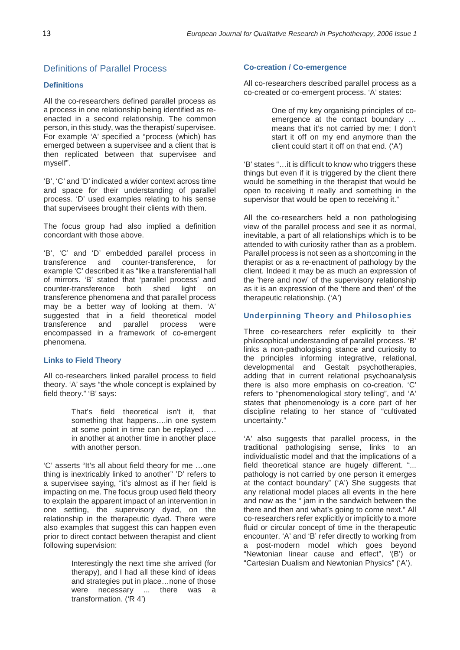#### Definitions of Parallel Process

#### **Definitions**

All the co-researchers defined parallel process as a process in one relationship being identified as reenacted in a second relationship. The common person, in this study, was the therapist/ supervisee. For example 'A' specified a "process (which) has emerged between a supervisee and a client that is then replicated between that supervisee and myself".

'B', 'C' and 'D' indicated a wider context across time and space for their understanding of parallel process. 'D' used examples relating to his sense that supervisees brought their clients with them.

The focus group had also implied a definition concordant with those above.

'B', 'C' and 'D' embedded parallel process in transference and counter-transference. for counter-transference. example 'C' described it as "like a transferential hall of mirrors. 'B' stated that 'parallel process' and counter-transference both shed light on transference phenomena and that parallel process may be a better way of looking at them. 'A' suggested that in a field theoretical model<br>transference and parallel process were transference and parallel process were encompassed in a framework of co-emergent phenomena.

#### **Links to Field Theory**

All co-researchers linked parallel process to field theory. 'A' says "the whole concept is explained by field theory." 'B' says:

> That's field theoretical isn't it, that something that happens….in one system at some point in time can be replayed …. in another at another time in another place with another person.

'C' asserts "It's all about field theory for me …one thing is inextricably linked to another" 'D' refers to a supervisee saying, "it's almost as if her field is impacting on me. The focus group used field theory to explain the apparent impact of an intervention in one setting, the supervisory dyad, on the relationship in the therapeutic dyad. There were also examples that suggest this can happen even prior to direct contact between therapist and client following supervision:

> Interestingly the next time she arrived (for therapy), and I had all these kind of ideas and strategies put in place…none of those were necessary ... there was a transformation. ('R 4')

#### **Co-creation / Co-emergence**

All co-researchers described parallel process as a co-created or co-emergent process. 'A' states:

> One of my key organising principles of coemergence at the contact boundary … means that it's not carried by me; I don't start it off on my end anymore than the client could start it off on that end. ('A')

'B' states "…it is difficult to know who triggers these things but even if it is triggered by the client there would be something in the therapist that would be open to receiving it really and something in the supervisor that would be open to receiving it."

All the co-researchers held a non pathologising view of the parallel process and see it as normal, inevitable, a part of all relationships which is to be attended to with curiosity rather than as a problem. Parallel process is not seen as a shortcoming in the therapist or as a re-enactment of pathology by the client. Indeed it may be as much an expression of the 'here and now' of the supervisory relationship as it is an expression of the 'there and then' of the therapeutic relationship. ('A')

#### **Underpinning Theory and Philosophies**

Three co-researchers refer explicitly to their philosophical understanding of parallel process. 'B' links a non-pathologising stance and curiosity to the principles informing integrative, relational, developmental and Gestalt psychotherapies, adding that in current relational psychoanalysis there is also more emphasis on co-creation. 'C' refers to "phenomenological story telling", and 'A' states that phenomenology is a core part of her discipline relating to her stance of "cultivated uncertainty."

'A' also suggests that parallel process, in the traditional pathologising sense, links to an individualistic model and that the implications of a field theoretical stance are hugely different. "... pathology is not carried by one person it emerges at the contact boundary" ('A') She suggests that any relational model places all events in the here and now as the " jam in the sandwich between the there and then and what's going to come next." All co-researchers refer explicitly or implicitly to a more fluid or circular concept of time in the therapeutic encounter. 'A' and 'B' refer directly to working from a post-modern model which goes beyond "Newtonian linear cause and effect", '(B') or "Cartesian Dualism and Newtonian Physics" ('A').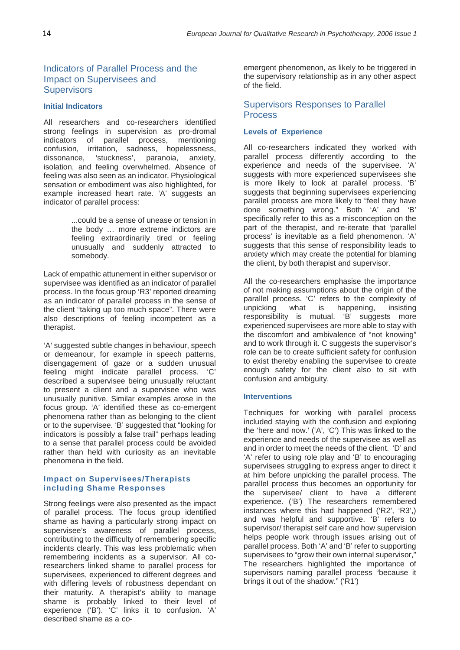#### Indicators of Parallel Process and the Impact on Supervisees and **Supervisors**

#### **Initial Indicators**

All researchers and co-researchers identified strong feelings in supervision as pro-dromal indicators of parallel process, mentioning confusion, irritation, sadness, hopelessness,<br>dissonance, 'stuckness', paranoia, anxiety, 'stuckness', isolation, and feeling overwhelmed. Absence of feeling was also seen as an indicator. Physiological sensation or embodiment was also highlighted, for example increased heart rate. 'A' suggests an indicator of parallel process:

> ...could be a sense of unease or tension in the body … more extreme indictors are feeling extraordinarily tired or feeling unusually and suddenly attracted to somebody.

Lack of empathic attunement in either supervisor or supervisee was identified as an indicator of parallel process. In the focus group 'R3' reported dreaming as an indicator of parallel process in the sense of the client "taking up too much space". There were also descriptions of feeling incompetent as a therapist.

'A' suggested subtle changes in behaviour, speech or demeanour, for example in speech patterns, disengagement of gaze or a sudden unusual feeling might indicate parallel process. 'C' described a supervisee being unusually reluctant to present a client and a supervisee who was unusually punitive. Similar examples arose in the focus group. 'A' identified these as co-emergent phenomena rather than as belonging to the client or to the supervisee. 'B' suggested that "looking for indicators is possibly a false trail" perhaps leading to a sense that parallel process could be avoided rather than held with curiosity as an inevitable phenomena in the field.

#### **Impact on Supervisees/Therapists including Shame Responses**

Strong feelings were also presented as the impact of parallel process. The focus group identified shame as having a particularly strong impact on supervisee's awareness of parallel process, contributing to the difficulty of remembering specific incidents clearly. This was less problematic when remembering incidents as a supervisor. All coresearchers linked shame to parallel process for supervisees, experienced to different degrees and with differing levels of robustness dependant on their maturity. A therapist's ability to manage shame is probably linked to their level of experience ('B'). 'C' links it to confusion. 'A' described shame as a coemergent phenomenon, as likely to be triggered in the supervisory relationship as in any other aspect of the field.

#### Supervisors Responses to Parallel Process

#### **Levels of Experience**

All co-researchers indicated they worked with parallel process differently according to the experience and needs of the supervisee. 'A' suggests with more experienced supervisees she is more likely to look at parallel process. 'B' suggests that beginning supervisees experiencing parallel process are more likely to "feel they have done something wrong." Both 'A' and 'B' specifically refer to this as a misconception on the part of the therapist, and re-iterate that 'parallel process' is inevitable as a field phenomenon. 'A' suggests that this sense of responsibility leads to anxiety which may create the potential for blaming the client, by both therapist and supervisor.

All the co-researchers emphasise the importance of not making assumptions about the origin of the parallel process. 'C' refers to the complexity of unpicking what is happening, insisting unpicking what is responsibility is mutual. 'B' suggests more experienced supervisees are more able to stay with the discomfort and ambivalence of "not knowing" and to work through it. C suggests the supervisor's role can be to create sufficient safety for confusion to exist thereby enabling the supervisee to create enough safety for the client also to sit with confusion and ambiguity.

#### **Interventions**

Techniques for working with parallel process included staying with the confusion and exploring the 'here and now.' ('A', 'C') This was linked to the experience and needs of the supervisee as well as and in order to meet the needs of the client. 'D' and 'A' refer to using role play and 'B' to encouraging supervisees struggling to express anger to direct it at him before unpicking the parallel process. The parallel process thus becomes an opportunity for the supervisee/ client to have a different experience. ('B') The researchers remembered instances where this had happened ('R2', 'R3',) and was helpful and supportive. 'B' refers to supervisor/ therapist self care and how supervision helps people work through issues arising out of parallel process. Both 'A' and 'B' refer to supporting supervisees to "grow their own internal supervisor," The researchers highlighted the importance of supervisors naming parallel process "because it brings it out of the shadow." ('R1')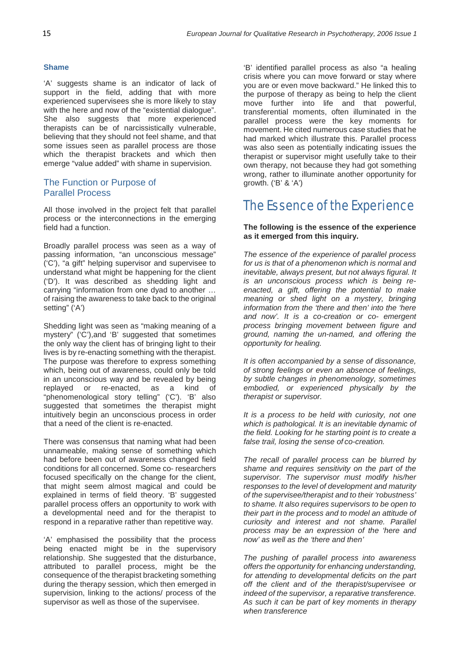#### **Shame**

'A' suggests shame is an indicator of lack of support in the field, adding that with more experienced supervisees she is more likely to stay with the here and now of the "existential dialogue". She also suggests that more experienced therapists can be of narcissistically vulnerable, believing that they should not feel shame, and that some issues seen as parallel process are those which the therapist brackets and which then emerge "value added" with shame in supervision.

#### The Function or Purpose of Parallel Process

All those involved in the project felt that parallel process or the interconnections in the emerging field had a function.

Broadly parallel process was seen as a way of passing information, "an unconscious message" ('C'), "a gift" helping supervisor and supervisee to understand what might be happening for the client ('D'). It was described as shedding light and carrying "information from one dyad to another … of raising the awareness to take back to the original setting" ('A')

Shedding light was seen as "making meaning of a mystery" ('C'),and 'B' suggested that sometimes the only way the client has of bringing light to their lives is by re-enacting something with the therapist. The purpose was therefore to express something which, being out of awareness, could only be told in an unconscious way and be revealed by being replayed or re-enacted, as a kind of "phenomenological story telling" ('C'). 'B' also suggested that sometimes the therapist might intuitively begin an unconscious process in order that a need of the client is re-enacted.

There was consensus that naming what had been unnameable, making sense of something which had before been out of awareness changed field conditions for all concerned. Some co- researchers focused specifically on the change for the client, that might seem almost magical and could be explained in terms of field theory. 'B' suggested parallel process offers an opportunity to work with a developmental need and for the therapist to respond in a reparative rather than repetitive way.

'A' emphasised the possibility that the process being enacted might be in the supervisory relationship. She suggested that the disturbance, attributed to parallel process, might be the consequence of the therapist bracketing something during the therapy session, which then emerged in supervision, linking to the actions/ process of the supervisor as well as those of the supervisee.

'B' identified parallel process as also "a healing crisis where you can move forward or stay where you are or even move backward." He linked this to the purpose of therapy as being to help the client move further into life and that powerful, transferential moments, often illuminated in the parallel process were the key moments for movement. He cited numerous case studies that he had marked which illustrate this. Parallel process was also seen as potentially indicating issues the therapist or supervisor might usefully take to their own therapy, not because they had got something wrong, rather to illuminate another opportunity for growth. ('B' & 'A')

# The Essence of the Experience

#### **The following is the essence of the experience as it emerged from this inquiry.**

*The essence of the experience of parallel process for us is that of a phenomenon which is normal and inevitable, always present, but not always figural. It is an unconscious process which is being reenacted, a gift, offering the potential to make meaning or shed light on a mystery, bringing information from the 'there and then' into the 'here and now'. It is a co-creation or co- emergent process bringing movement between figure and ground, naming the un-named, and offering the opportunity for healing.*

*It is often accompanied by a sense of dissonance, of strong feelings or even an absence of feelings, by subtle changes in phenomenology, sometimes embodied, or experienced physically by the therapist or supervisor.*

*It is a process to be held with curiosity, not one which is pathological. It is an inevitable dynamic of the field. Looking for he starting point is to create a false trail, losing the sense of co-creation.*

*The recall of parallel process can be blurred by shame and requires sensitivity on the part of the supervisor. The supervisor must modify his/her responses to the level of development and maturity of the supervisee/therapist and to their 'robustness' to shame. It also requires supervisors to be open to their part in the process and to model an attitude of curiosity and interest and not shame. Parallel process may be an expression of the 'here and now' as well as the 'there and then'*

*The pushing of parallel process into awareness offers the opportunity for enhancing understanding, for attending to developmental deficits on the part off the client and of the therapist/supervisee or indeed of the supervisor, a reparative transference. As such it can be part of key moments in therapy when transference*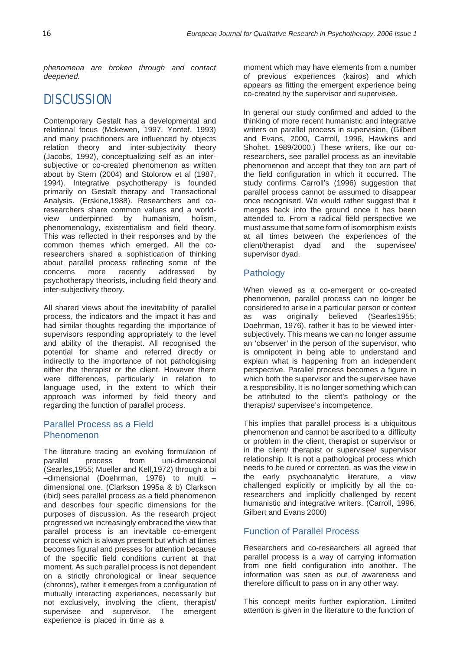*phenomena are broken through and contact deepened.*

# **DISCUSSION**

Contemporary Gestalt has a developmental and relational focus (Mckewen, 1997, Yontef, 1993) and many practitioners are influenced by objects relation theory and inter-subjectivity theory (Jacobs, 1992), conceptualizing self as an intersubjective or co-created phenomenon as written about by Stern (2004) and Stolorow et al (1987, 1994). Integrative psychotherapy is founded primarily on Gestalt therapy and Transactional Analysis. (Erskine,1988). Researchers and coresearchers share common values and a worldview underpinned by humanism, holism, phenomenology, existentialism and field theory. This was reflected in their responses and by the common themes which emerged. All the coresearchers shared a sophistication of thinking about parallel process reflecting some of the concerns more recently addressed by psychotherapy theorists, including field theory and inter-subjectivity theory.

All shared views about the inevitability of parallel process, the indicators and the impact it has and had similar thoughts regarding the importance of supervisors responding appropriately to the level and ability of the therapist. All recognised the potential for shame and referred directly or indirectly to the importance of not pathologising either the therapist or the client. However there were differences, particularly in relation to language used, in the extent to which their approach was informed by field theory and regarding the function of parallel process.

#### Parallel Process as a Field Phenomenon

The literature tracing an evolving formulation of parallel process from uni-dimensional (Searles,1955; Mueller and Kell,1972) through a bi –dimensional (Doehrman, 1976) to multi – dimensional one. (Clarkson 1995a & b) Clarkson (ibid) sees parallel process as a field phenomenon and describes four specific dimensions for the purposes of discussion. As the research project progressed we increasingly embraced the view that parallel process is an inevitable co-emergent process which is always present but which at times becomes figural and presses for attention because of the specific field conditions current at that moment. As such parallel process is not dependent on a strictly chronological or linear sequence (chronos), rather it emerges from a configuration of mutually interacting experiences, necessarily but not exclusively, involving the client, therapist/ supervisee and supervisor. The emergent experience is placed in time as a

moment which may have elements from a number of previous experiences (kairos) and which appears as fitting the emergent experience being co-created by the supervisor and supervisee.

In general our study confirmed and added to the thinking of more recent humanistic and integrative writers on parallel process in supervision, (Gilbert and Evans, 2000, Carroll, 1996, Hawkins and Shohet, 1989/2000.) These writers, like our coresearchers, see parallel process as an inevitable phenomenon and accept that they too are part of the field configuration in which it occurred. The study confirms Carroll's (1996) suggestion that parallel process cannot be assumed to disappear once recognised. We would rather suggest that it merges back into the ground once it has been attended to. From a radical field perspective we must assume that some form of isomorphism exists at all times between the experiences of the client/therapist dyad and the supervisee/ supervisor dyad.

#### Pathology

When viewed as a co-emergent or co-created phenomenon, parallel process can no longer be considered to arise in a particular person or context as was originally believed (Searles1955; Doehrman, 1976), rather it has to be viewed intersubjectively. This means we can no longer assume an 'observer' in the person of the supervisor, who is omnipotent in being able to understand and explain what is happening from an independent perspective. Parallel process becomes a figure in which both the supervisor and the supervisee have a responsibility. It is no longer something which can be attributed to the client's pathology or the therapist/ supervisee's incompetence.

This implies that parallel process is a ubiquitous phenomenon and cannot be ascribed to a difficulty or problem in the client, therapist or supervisor or in the client/ therapist or supervisee/ supervisor relationship. It is not a pathological process which needs to be cured or corrected, as was the view in the early psychoanalytic literature, a view challenged explicitly or implicitly by all the coresearchers and implicitly challenged by recent humanistic and integrative writers. (Carroll, 1996, Gilbert and Evans 2000)

#### Function of Parallel Process

Researchers and co-researchers all agreed that parallel process is a way of carrying information from one field configuration into another. The information was seen as out of awareness and therefore difficult to pass on in any other way.

This concept merits further exploration. Limited attention is given in the literature to the function of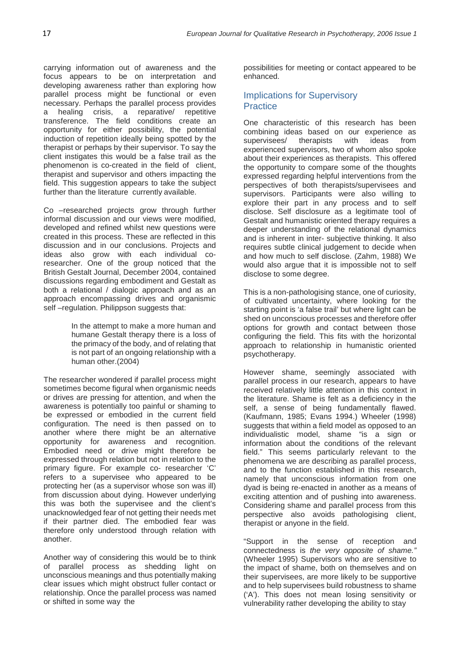carrying information out of awareness and the focus appears to be on interpretation and developing awareness rather than exploring how parallel process might be functional or even necessary. Perhaps the parallel process provides a healing crisis, a reparative/ repetitive transference. The field conditions create an opportunity for either possibility, the potential induction of repetition ideally being spotted by the therapist or perhaps by their supervisor. To say the client instigates this would be a false trail as the phenomenon is co-created in the field of client, therapist and supervisor and others impacting the field. This suggestion appears to take the subject further than the literature currently available.

Co –researched projects grow through further informal discussion and our views were modified, developed and refined whilst new questions were created in this process. These are reflected in this discussion and in our conclusions. Projects and ideas also grow with each individual coresearcher. One of the group noticed that the British Gestalt Journal, December 2004, contained discussions regarding embodiment and Gestalt as both a relational / dialogic approach and as an approach encompassing drives and organismic self-regulation. Philippson suggests that:

> In the attempt to make a more human and humane Gestalt therapy there is a loss of the primacy of the body, and of relating that is not part of an ongoing relationship with a human other.(2004)

The researcher wondered if parallel process might sometimes become figural when organismic needs or drives are pressing for attention, and when the awareness is potentially too painful or shaming to be expressed or embodied in the current field configuration. The need is then passed on to another where there might be an alternative opportunity for awareness and recognition. Embodied need or drive might therefore be expressed through relation but not in relation to the primary figure. For example co- researcher 'C' refers to a supervisee who appeared to be protecting her (as a supervisor whose son was ill) from discussion about dying. However underlying this was both the supervisee and the client's unacknowledged fear of not getting their needs met if their partner died. The embodied fear was therefore only understood through relation with another.

Another way of considering this would be to think of parallel process as shedding light on unconscious meanings and thus potentially making clear issues which might obstruct fuller contact or relationship. Once the parallel process was named or shifted in some way the

possibilities for meeting or contact appeared to be enhanced.

#### Implications for Supervisory **Practice**

One characteristic of this research has been combining ideas based on our experience as supervisees/ therapists with ideas from experienced supervisors, two of whom also spoke about their experiences as therapists. This offered the opportunity to compare some of the thoughts expressed regarding helpful interventions from the perspectives of both therapists/supervisees and supervisors. Participants were also willing to explore their part in any process and to self disclose. Self disclosure as a legitimate tool of Gestalt and humanistic oriented therapy requires a deeper understanding of the relational dynamics and is inherent in inter- subjective thinking. It also requires subtle clinical judgement to decide when and how much to self disclose. (Zahm, 1988) We would also argue that it is impossible not to self disclose to some degree.

This is a non-pathologising stance, one of curiosity, of cultivated uncertainty, where looking for the starting point is 'a false trail' but where light can be shed on unconscious processes and therefore offer options for growth and contact between those configuring the field. This fits with the horizontal approach to relationship in humanistic oriented psychotherapy.

However shame, seemingly associated with parallel process in our research, appears to have received relatively little attention in this context in the literature. Shame is felt as a deficiency in the self, a sense of being fundamentally flawed. (Kaufmann, 1985; Evans 1994.) Wheeler (1998) suggests that within a field model as opposed to an individualistic model, shame "is a sign or information about the conditions of the relevant field." This seems particularly relevant to the phenomena we are describing as parallel process, and to the function established in this research, namely that unconscious information from one dyad is being re-enacted in another as a means of exciting attention and of pushing into awareness. Considering shame and parallel process from this perspective also avoids pathologising client, therapist or anyone in the field.

"Support in the sense of reception and connectedness is *the very opposite of shame."*  (Wheeler 1995) Supervisors who are sensitive to the impact of shame, both on themselves and on their supervisees, are more likely to be supportive and to help supervisees build robustness to shame ('A'). This does not mean losing sensitivity or vulnerability rather developing the ability to stay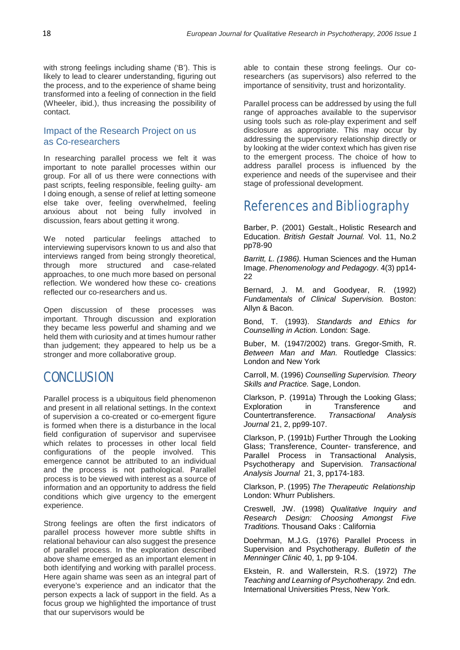with strong feelings including shame ('B'). This is likely to lead to clearer understanding, figuring out the process, and to the experience of shame being transformed into a feeling of connection in the field (Wheeler, ibid.), thus increasing the possibility of contact.

#### Impact of the Research Project on us as Co-researchers

In researching parallel process we felt it was important to note parallel processes within our group. For all of us there were connections with past scripts, feeling responsible, feeling guilty- am I doing enough, a sense of relief at letting someone else take over, feeling overwhelmed, feeling anxious about not being fully involved in discussion, fears about getting it wrong.

We noted particular feelings attached to interviewing supervisors known to us and also that interviews ranged from being strongly theoretical, through more structured and case-related approaches, to one much more based on personal reflection. We wondered how these co- creations reflected our co-researchers and us.

Open discussion of these processes was important. Through discussion and exploration they became less powerful and shaming and we held them with curiosity and at times humour rather than judgement; they appeared to help us be a stronger and more collaborative group.

### **CONCLUSION**

Parallel process is a ubiquitous field phenomenon and present in all relational settings. In the context of supervision a co-created or co-emergent figure is formed when there is a disturbance in the local field configuration of supervisor and supervisee which relates to processes in other local field configurations of the people involved. This emergence cannot be attributed to an individual and the process is not pathological. Parallel process is to be viewed with interest as a source of information and an opportunity to address the field conditions which give urgency to the emergent experience.

Strong feelings are often the first indicators of parallel process however more subtle shifts in relational behaviour can also suggest the presence of parallel process. In the exploration described above shame emerged as an important element in both identifying and working with parallel process. Here again shame was seen as an integral part of everyone's experience and an indicator that the person expects a lack of support in the field. As a focus group we highlighted the importance of trust that our supervisors would be

able to contain these strong feelings. Our coresearchers (as supervisors) also referred to the importance of sensitivity, trust and horizontality.

Parallel process can be addressed by using the full range of approaches available to the supervisor using tools such as role-play experiment and self disclosure as appropriate. This may occur by addressing the supervisory relationship directly or by looking at the wider context which has given rise to the emergent process. The choice of how to address parallel process is influenced by the experience and needs of the supervisee and their stage of professional development.

### References and Bibliography

Barber, P. (2001) Gestalt., Holistic Research and Education. *British Gestalt Journal.* Vol. 11, No.2 pp78-90

*Barritt, L. (1986).* Human Sciences and the Human Image. *Phenomenology and Pedagogy*. 4(3) pp14- 22

Bernard, J. M. and Goodyear, R. (1992) *Fundamentals of Clinical Supervision.* Boston: Allyn & Bacon.

Bond, T. (1993). *Standards and Ethics for Counselling in Action.* London: Sage.

Buber, M. (1947/2002) trans. Gregor-Smith, R. *Between Man and Man.* Routledge Classics: London and New York

Carroll, M. (1996) *Counselling Supervision. Theory Skills and Practice.* Sage, London.

Clarkson, P. (1991a) Through the Looking Glass; Exploration in Transference and Countertransference. *Transactional Analysis Journal* 21, 2, pp99-107.

Clarkson, P. (1991b) Further Through the Looking Glass; Transference, Counter- transference, and Parallel Process in Transactional Analysis, Psychotherapy and Supervision. *Transactional Analysis Journal* 21, 3, pp174-183.

Clarkson, P. (1995) *The Therapeutic Relationship* London: Whurr Publishers.

Creswell, JW. (1998) *Qualitative Inquiry and Research Design: Choosing Amongst Five Traditions.* Thousand Oaks : California

Doehrman, M.J.G. (1976) Parallel Process in Supervision and Psychotherapy. *Bulletin of the Menninger Clinic* 40, 1, pp 9-104.

Ekstein, R. and Wallerstein, R.S. (1972) *The Teaching and Learning of Psychotherapy.* 2nd edn. International Universities Press, New York.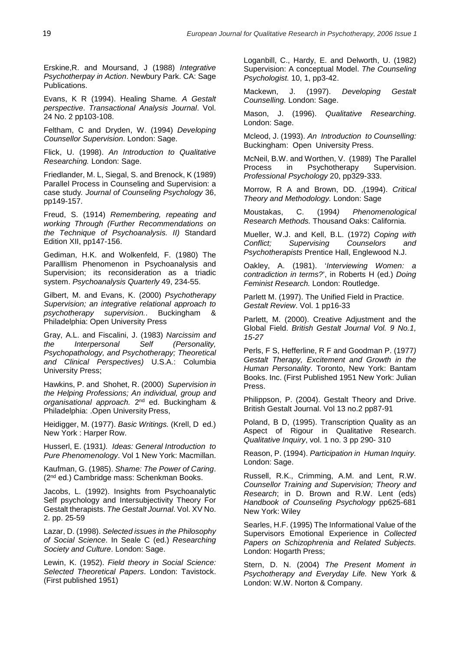Erskine,R. and Moursand, J (1988) *Integrative Psychotherpay in Action*. Newbury Park. CA: Sage Publications.

Evans, K R (1994). Healing Shame*. A Gestalt perspective*. *Transactional Analysis Journal*. Vol. 24 No. 2 pp103-108.

Feltham, C and Dryden, W. (1994) *Developing Counsellor Supervision*. London: Sage.

Flick, U. (1998). *An Introduction to Qualitative Researching.* London: Sage.

Friedlander, M. L, Siegal, S. and Brenock, K (1989) Parallel Process in Counseling and Supervision: a case study*. Journal of Counseling Psychology* 36, pp149-157.

Freud, S. (1914) *Remembering, repeating and working Through (Further Recommendations on the Technique of Psychoanalysis. II)* Standard Edition XII, pp147-156.

Gediman, H.K. and Wolkenfeld, F. (1980) The Paralllism Phenomenon in Psychoanalysis and Supervision; its reconsideration as a triadic system. *Psychoanalysis Quarterly* 49, 234-55.

Gilbert, M. and Evans, K. (2000) *Psychotherapy Supervision; an integrative relational approach to*  supervision.. Buckingham & Philadelphia: Open University Press

Gray, A.L. and Fiscalini, J. (1983) *Narcissim and the Interpersonal Self (Personality, Psychopathology, and Psychotherapy; Theoretical and Clinical Perspectives)* U.S.A.: Columbia University Press;

Hawkins, P. and Shohet, R. (2000) *Supervision in the Helping Professions; An individual, group and organisational approach.* 2nd ed. Buckingham & Philadelphia: .Open University Press,

Heidigger, M. (1977). *Basic Writings.* (Krell, D ed.) New York : Harper Row.

Husserl, E. (1931*). Ideas: General Introduction to Pure Phenomenology*. Vol 1 New York: Macmillan.

Kaufman, G. (1985). *Shame: The Power of Caring*. (2nd ed.) Cambridge mass: Schenkman Books.

Jacobs, L. (1992). Insights from Psychoanalytic Self psychology and Intersubjectivity Theory For Gestalt therapists. *The Gestalt Journal*. Vol. XV No. 2. pp. 25-59

Lazar, D. (1998). *Selected issues in the Philosophy of Social Science*. In Seale C (ed.) *Researching Society and Culture*. London: Sage.

Lewin, K. (1952). *Field theory in Social Science: Selected Theoretical Papers*. London: Tavistock. (First published 1951)

Loganbill, C., Hardy, E. and Delworth, U. (1982) Supervision: A conceptual Model. *The Counseling Psychologist.* 10, 1, pp3-42.

Mackewn, J. (1997). *Developing Gestalt Counselling.* London: Sage.

Mason, J. (1996). *Qualitative Researching*. London: Sage.

Mcleod, J. (1993). *An Introduction to Counselling:*  Buckingham: Open University Press.

McNeil, B.W. and Worthen, V. (1989) The Parallel Process in Psychotherapy Supervision. *Professional Psychology* 20, pp329-333.

Morrow, R A and Brown, DD. ,(1994). *Critical Theory and Methodology.* London: Sage

Moustakas, C. (1994*) Phenomenological Research Methods.* Thousand Oaks: California.

Mueller, W.J. and Kell, B.L. (1972) *Coping with*  **Supervising Counselors and** *Psychotherapists* Prentice Hall, Englewood N.J.

Oakley, A. (1981). '*Interviewing Women: a contradiction in terms?*', in Roberts H (ed.) *Doing Feminist Research.* London: Routledge.

Parlett M. (1997). The Unified Field in Practice. *Gestalt Review*. Vol. 1 pp16-33

Parlett, M. (2000). Creative Adjustment and the Global Field. *British Gestalt Journal Vol. 9 No.1, 15-27*

Perls, F S, Hefferline, R F and Goodman P. (1977*) Gestalt Therapy, Excitement and Growth in the Human Personality*. Toronto, New York: Bantam Books. Inc. (First Published 1951 New York: Julian Press.

Philippson, P. (2004). Gestalt Theory and Drive. British Gestalt Journal. Vol 13 no.2 pp87-91

Poland, B D, (1995). Transcription Quality as an Aspect of Rigour in Qualitative Research. *Qualitative Inquiry*, vol. 1 no. 3 pp 290- 310

Reason, P. (1994). *Participation in Human Inquiry.*  London: Sage.

Russell, R.K., Crimming, A.M. and Lent, R.W. *Counsellor Training and Supervision; Theory and Research*; in D. Brown and R.W. Lent (eds) *Handbook of Counseling Psychology* pp625-681 New York: Wiley

Searles, H.F. (1995) The Informational Value of the Supervisors Emotional Experience in *Collected Papers on Schizophrenia and Related Subjects.* London: Hogarth Press;

Stern, D. N. (2004) *The Present Moment in Psychotherapy and Everyday Life.* New York & London: W.W. Norton & Company.